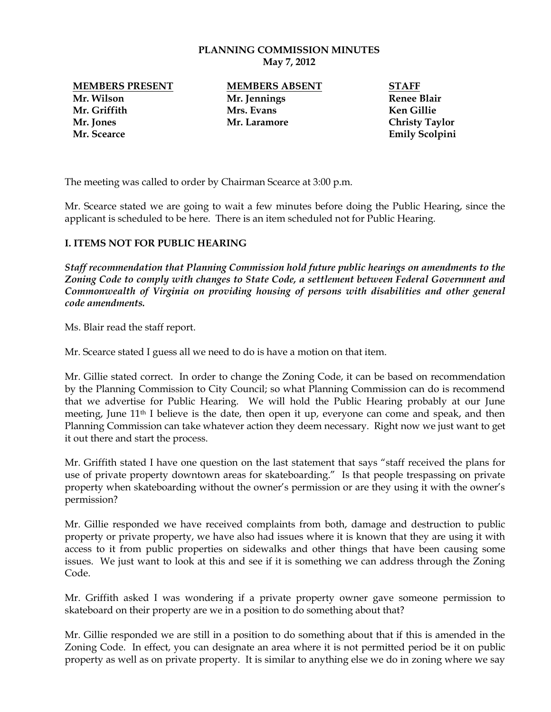#### **PLANNING COMMISSION MINUTES May 7, 2012**

**MEMBERS PRESENT MEMBERS ABSENT STAFF Mr. Wilson Mr. Jennings Renee Blair Mr. Griffith Mrs. Evans Ken Gillie Mr. Jones Mr. Laramore Christy Taylor Mr. Scearce Emily Scolpini**

The meeting was called to order by Chairman Scearce at 3:00 p.m.

Mr. Scearce stated we are going to wait a few minutes before doing the Public Hearing, since the applicant is scheduled to be here. There is an item scheduled not for Public Hearing.

### **I. ITEMS NOT FOR PUBLIC HEARING**

*Staff recommendation that Planning Commission hold future public hearings on amendments to the Zoning Code to comply with changes to State Code, a settlement between Federal Government and Commonwealth of Virginia on providing housing of persons with disabilities and other general code amendments.*

Ms. Blair read the staff report.

Mr. Scearce stated I guess all we need to do is have a motion on that item.

Mr. Gillie stated correct. In order to change the Zoning Code, it can be based on recommendation by the Planning Commission to City Council; so what Planning Commission can do is recommend that we advertise for Public Hearing. We will hold the Public Hearing probably at our June meeting, June 11<sup>th</sup> I believe is the date, then open it up, everyone can come and speak, and then Planning Commission can take whatever action they deem necessary. Right now we just want to get it out there and start the process.

Mr. Griffith stated I have one question on the last statement that says "staff received the plans for use of private property downtown areas for skateboarding." Is that people trespassing on private property when skateboarding without the owner's permission or are they using it with the owner's permission?

Mr. Gillie responded we have received complaints from both, damage and destruction to public property or private property, we have also had issues where it is known that they are using it with access to it from public properties on sidewalks and other things that have been causing some issues. We just want to look at this and see if it is something we can address through the Zoning Code.

Mr. Griffith asked I was wondering if a private property owner gave someone permission to skateboard on their property are we in a position to do something about that?

Mr. Gillie responded we are still in a position to do something about that if this is amended in the Zoning Code. In effect, you can designate an area where it is not permitted period be it on public property as well as on private property. It is similar to anything else we do in zoning where we say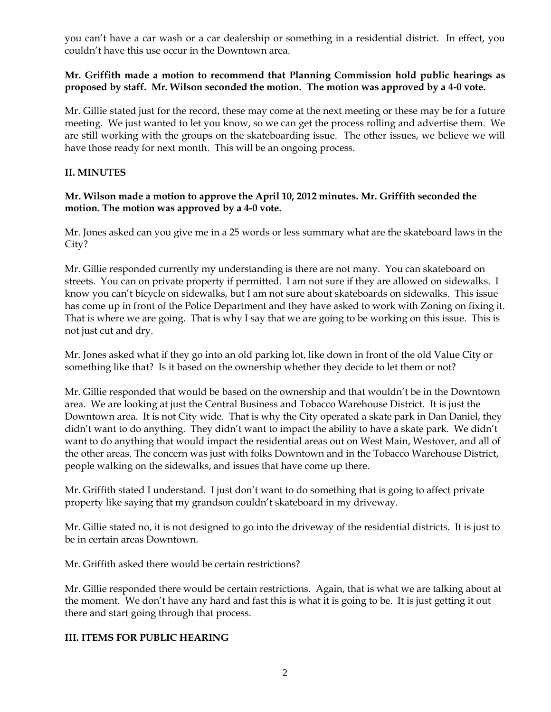you can't have a car wash or a car dealership or something in a residential district. In effect, you couldn't have this use occur in the Downtown area.

### **Mr. Griffith made a motion to recommend that Planning Commission hold public hearings as proposed by staff. Mr. Wilson seconded the motion. The motion was approved by a 4-0 vote.**

Mr. Gillie stated just for the record, these may come at the next meeting or these may be for a future meeting. We just wanted to let you know, so we can get the process rolling and advertise them. We are still working with the groups on the skateboarding issue. The other issues, we believe we will have those ready for next month. This will be an ongoing process.

# **II. MINUTES**

### **Mr. Wilson made a motion to approve the April 10, 2012 minutes. Mr. Griffith seconded the motion. The motion was approved by a 4-0 vote.**

Mr. Jones asked can you give me in a 25 words or less summary what are the skateboard laws in the City?

Mr. Gillie responded currently my understanding is there are not many. You can skateboard on streets. You can on private property if permitted. I am not sure if they are allowed on sidewalks. I know you can't bicycle on sidewalks, but I am not sure about skateboards on sidewalks. This issue has come up in front of the Police Department and they have asked to work with Zoning on fixing it. That is where we are going. That is why I say that we are going to be working on this issue. This is not just cut and dry.

Mr. Jones asked what if they go into an old parking lot, like down in front of the old Value City or something like that? Is it based on the ownership whether they decide to let them or not?

Mr. Gillie responded that would be based on the ownership and that wouldn't be in the Downtown area. We are looking at just the Central Business and Tobacco Warehouse District. It is just the Downtown area. It is not City wide. That is why the City operated a skate park in Dan Daniel, they didn't want to do anything. They didn't want to impact the ability to have a skate park. We didn't want to do anything that would impact the residential areas out on West Main, Westover, and all of the other areas. The concern was just with folks Downtown and in the Tobacco Warehouse District, people walking on the sidewalks, and issues that have come up there.

Mr. Griffith stated I understand. I just don't want to do something that is going to affect private property like saying that my grandson couldn't skateboard in my driveway.

Mr. Gillie stated no, it is not designed to go into the driveway of the residential districts. It is just to be in certain areas Downtown.

Mr. Griffith asked there would be certain restrictions?

Mr. Gillie responded there would be certain restrictions. Again, that is what we are talking about at the moment. We don't have any hard and fast this is what it is going to be. It is just getting it out there and start going through that process.

# **III. ITEMS FOR PUBLIC HEARING**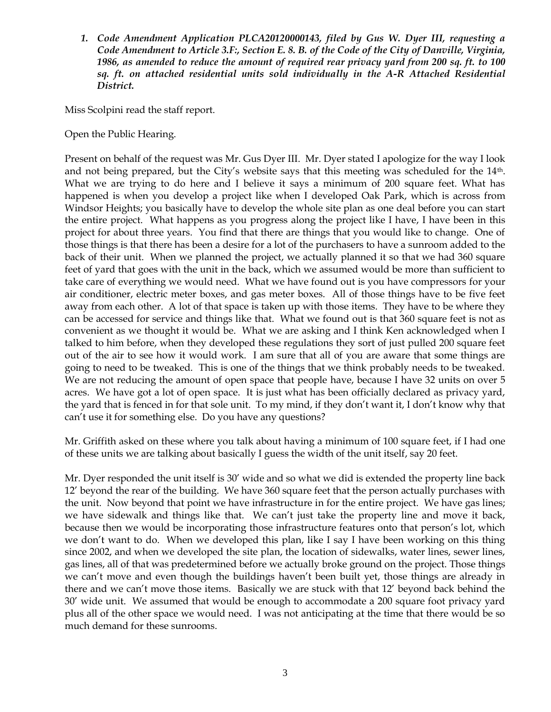*1. Code Amendment Application PLCA20120000143, filed by Gus W. Dyer III, requesting a Code Amendment to Article 3.F:, Section E. 8. B. of the Code of the City of Danville, Virginia, 1986, as amended to reduce the amount of required rear privacy yard from 200 sq. ft. to 100 sq. ft. on attached residential units sold individually in the A-R Attached Residential District.*

Miss Scolpini read the staff report.

Open the Public Hearing.

Present on behalf of the request was Mr. Gus Dyer III. Mr. Dyer stated I apologize for the way I look and not being prepared, but the City's website says that this meeting was scheduled for the 14th. What we are trying to do here and I believe it says a minimum of 200 square feet. What has happened is when you develop a project like when I developed Oak Park, which is across from Windsor Heights; you basically have to develop the whole site plan as one deal before you can start the entire project. What happens as you progress along the project like I have, I have been in this project for about three years. You find that there are things that you would like to change. One of those things is that there has been a desire for a lot of the purchasers to have a sunroom added to the back of their unit. When we planned the project, we actually planned it so that we had 360 square feet of yard that goes with the unit in the back, which we assumed would be more than sufficient to take care of everything we would need. What we have found out is you have compressors for your air conditioner, electric meter boxes, and gas meter boxes. All of those things have to be five feet away from each other. A lot of that space is taken up with those items. They have to be where they can be accessed for service and things like that. What we found out is that 360 square feet is not as convenient as we thought it would be. What we are asking and I think Ken acknowledged when I talked to him before, when they developed these regulations they sort of just pulled 200 square feet out of the air to see how it would work. I am sure that all of you are aware that some things are going to need to be tweaked. This is one of the things that we think probably needs to be tweaked. We are not reducing the amount of open space that people have, because I have 32 units on over 5 acres. We have got a lot of open space. It is just what has been officially declared as privacy yard, the yard that is fenced in for that sole unit. To my mind, if they don't want it, I don't know why that can't use it for something else. Do you have any questions?

Mr. Griffith asked on these where you talk about having a minimum of 100 square feet, if I had one of these units we are talking about basically I guess the width of the unit itself, say 20 feet.

Mr. Dyer responded the unit itself is 30' wide and so what we did is extended the property line back 12' beyond the rear of the building. We have 360 square feet that the person actually purchases with the unit. Now beyond that point we have infrastructure in for the entire project. We have gas lines; we have sidewalk and things like that. We can't just take the property line and move it back, because then we would be incorporating those infrastructure features onto that person's lot, which we don't want to do. When we developed this plan, like I say I have been working on this thing since 2002, and when we developed the site plan, the location of sidewalks, water lines, sewer lines, gas lines, all of that was predetermined before we actually broke ground on the project. Those things we can't move and even though the buildings haven't been built yet, those things are already in there and we can't move those items. Basically we are stuck with that 12' beyond back behind the 30' wide unit. We assumed that would be enough to accommodate a 200 square foot privacy yard plus all of the other space we would need. I was not anticipating at the time that there would be so much demand for these sunrooms.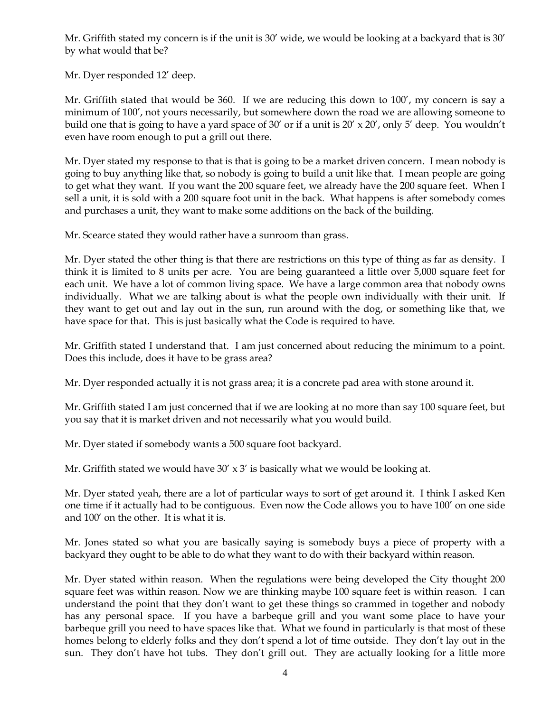Mr. Griffith stated my concern is if the unit is 30' wide, we would be looking at a backyard that is 30' by what would that be?

Mr. Dyer responded 12' deep.

Mr. Griffith stated that would be 360. If we are reducing this down to 100', my concern is say a minimum of 100', not yours necessarily, but somewhere down the road we are allowing someone to build one that is going to have a yard space of 30' or if a unit is  $20' \times 20'$ , only 5' deep. You wouldn't even have room enough to put a grill out there.

Mr. Dyer stated my response to that is that is going to be a market driven concern. I mean nobody is going to buy anything like that, so nobody is going to build a unit like that. I mean people are going to get what they want. If you want the 200 square feet, we already have the 200 square feet. When I sell a unit, it is sold with a 200 square foot unit in the back. What happens is after somebody comes and purchases a unit, they want to make some additions on the back of the building.

Mr. Scearce stated they would rather have a sunroom than grass.

Mr. Dyer stated the other thing is that there are restrictions on this type of thing as far as density. I think it is limited to 8 units per acre. You are being guaranteed a little over 5,000 square feet for each unit. We have a lot of common living space. We have a large common area that nobody owns individually. What we are talking about is what the people own individually with their unit. If they want to get out and lay out in the sun, run around with the dog, or something like that, we have space for that. This is just basically what the Code is required to have.

Mr. Griffith stated I understand that. I am just concerned about reducing the minimum to a point. Does this include, does it have to be grass area?

Mr. Dyer responded actually it is not grass area; it is a concrete pad area with stone around it.

Mr. Griffith stated I am just concerned that if we are looking at no more than say 100 square feet, but you say that it is market driven and not necessarily what you would build.

Mr. Dyer stated if somebody wants a 500 square foot backyard.

Mr. Griffith stated we would have  $30' \times 3'$  is basically what we would be looking at.

Mr. Dyer stated yeah, there are a lot of particular ways to sort of get around it. I think I asked Ken one time if it actually had to be contiguous. Even now the Code allows you to have 100' on one side and 100' on the other. It is what it is.

Mr. Jones stated so what you are basically saying is somebody buys a piece of property with a backyard they ought to be able to do what they want to do with their backyard within reason.

Mr. Dyer stated within reason. When the regulations were being developed the City thought 200 square feet was within reason. Now we are thinking maybe 100 square feet is within reason. I can understand the point that they don't want to get these things so crammed in together and nobody has any personal space. If you have a barbeque grill and you want some place to have your barbeque grill you need to have spaces like that. What we found in particularly is that most of these homes belong to elderly folks and they don't spend a lot of time outside. They don't lay out in the sun. They don't have hot tubs. They don't grill out. They are actually looking for a little more